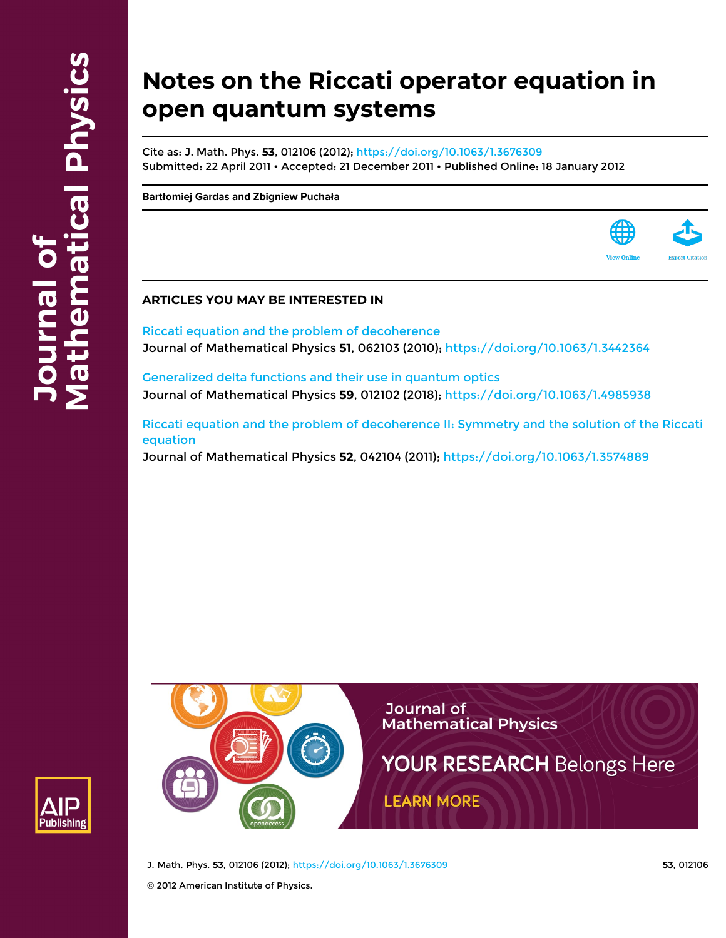# **Notes on the Riccati operator equation in open quantum systems**

Cite as: J. Math. Phys. **53**, 012106 (2012); <https://doi.org/10.1063/1.3676309> Submitted: 22 April 2011 • Accepted: 21 December 2011 • Published Online: 18 January 2012

**[Bartłomiej Gardas](https://aip.scitation.org/author/Gardas%2C+Bart%C5%82omiej) and [Zbigniew Puchała](https://aip.scitation.org/author/Pucha%C5%82a%2C+Zbigniew)**



[Riccati equation and the problem of decoherence](https://aip.scitation.org/doi/10.1063/1.3442364) Journal of Mathematical Physics **51**, 062103 (2010); <https://doi.org/10.1063/1.3442364>

[Generalized delta functions and their use in quantum optics](https://aip.scitation.org/doi/10.1063/1.4985938) Journal of Mathematical Physics **59**, 012102 (2018);<https://doi.org/10.1063/1.4985938>

[Riccati equation and the problem of decoherence II: Symmetry and the solution of the Riccati](https://aip.scitation.org/doi/10.1063/1.3574889) [equation](https://aip.scitation.org/doi/10.1063/1.3574889)

Journal of Mathematical Physics **52**, 042104 (2011);<https://doi.org/10.1063/1.3574889>





J. Math. Phys. **53**, 012106 (2012); <https://doi.org/10.1063/1.3676309> **53**, 012106

© 2012 American Institute of Physics.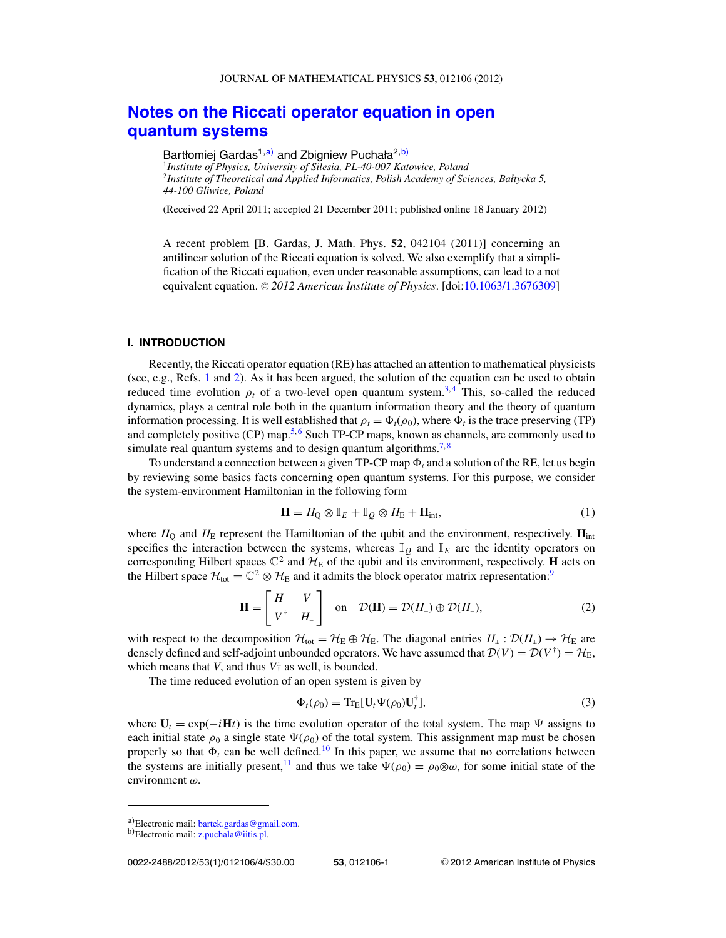# <span id="page-1-0"></span>**[Notes on the Riccati operator equation in open](http://dx.doi.org/10.1063/1.3676309) [quantum systems](http://dx.doi.org/10.1063/1.3676309)**

Bartłomiej Gardas<sup>1,a)</sup> and Zbigniew Puchała<sup>2,b)</sup>

<sup>1</sup>*Institute of Physics, University of Silesia, PL-40-007 Katowice, Poland* <sup>2</sup>*Institute of Theoretical and Applied Informatics, Polish Academy of Sciences, Bałtycka 5, 44-100 Gliwice, Poland*

(Received 22 April 2011; accepted 21 December 2011; published online 18 January 2012)

A recent problem [B. Gardas, J. Math. Phys. **52**, 042104 (2011)] concerning an antilinear solution of the Riccati equation is solved. We also exemplify that a simplification of the Riccati equation, even under reasonable assumptions, can lead to a not equivalent equation. © 2012 American Institute of Physics. [doi[:10.1063/1.3676309\]](http://dx.doi.org/10.1063/1.3676309)

#### **I. INTRODUCTION**

Recently, the Riccati operator equation (RE) has attached an attention to mathematical physicists (see, e.g., Refs. [1](#page-4-0) and [2\)](#page-4-0). As it has been argued, the solution of the equation can be used to obtain reduced time evolution  $\rho_t$  of a two-level open quantum system.<sup>[3,](#page-4-0)[4](#page-4-0)</sup> This, so-called the reduced dynamics, plays a central role both in the quantum information theory and the theory of quantum information processing. It is well established that  $\rho_t = \Phi_t(\rho_0)$ , where  $\Phi_t$  is the trace preserving (TP) and completely positive  $(CP)$  map.<sup>[5,](#page-4-0)[6](#page-4-0)</sup> Such TP-CP maps, known as channels, are commonly used to simulate real quantum systems and to design quantum algorithms.<sup>7,[8](#page-4-0)</sup>

To understand a connection between a given TP-CP map  $\Phi_t$  and a solution of the RE, let us begin by reviewing some basics facts concerning open quantum systems. For this purpose, we consider the system-environment Hamiltonian in the following form

$$
\mathbf{H} = H_{\mathbf{Q}} \otimes \mathbb{I}_{E} + \mathbb{I}_{Q} \otimes H_{\mathbf{E}} + \mathbf{H}_{\text{int}},\tag{1}
$$

where  $H_0$  and  $H_E$  represent the Hamiltonian of the qubit and the environment, respectively.  $\mathbf{H}_{int}$ specifies the interaction between the systems, whereas  $\mathbb{I}_Q$  and  $\mathbb{I}_E$  are the identity operators on corresponding Hilbert spaces  $\mathbb{C}^2$  and  $\mathcal{H}_E$  of the qubit and its environment, respectively. **H** acts on the Hilbert space  $\mathcal{H}_{tot} = \mathbb{C}^2 \otimes \mathcal{H}_E$  and it admits the block operator matrix representation:<sup>9</sup>

$$
\mathbf{H} = \begin{bmatrix} H_+ & V \\ V^{\dagger} & H_- \end{bmatrix} \text{ on } \mathcal{D}(\mathbf{H}) = \mathcal{D}(H_+) \oplus \mathcal{D}(H_-), \tag{2}
$$

with respect to the decomposition  $\mathcal{H}_{tot} = \mathcal{H}_E \oplus \mathcal{H}_E$ . The diagonal entries  $H_{\pm} : \mathcal{D}(H_{\pm}) \to \mathcal{H}_E$  are densely defined and self-adjoint unbounded operators. We have assumed that  $\mathcal{D}(V) = \mathcal{D}(V^{\dagger}) = \mathcal{H}_{F}$ . which means that *V*, and thus  $V_1^+$  as well, is bounded.

The time reduced evolution of an open system is given by

$$
\Phi_t(\rho_0) = \text{Tr}_{\mathcal{E}}[\mathbf{U}_t \Psi(\rho_0) \mathbf{U}_t^{\dagger}], \tag{3}
$$

where  $U_t = \exp(-iH_t)$  is the time evolution operator of the total system. The map  $\Psi$  assigns to each initial state  $\rho_0$  a single state  $\Psi(\rho_0)$  of the total system. This assignment map must be chosen properly so that  $\Phi_t$  can be well defined.<sup>10</sup> In this paper, we assume that no correlations between the systems are initially present,<sup>11</sup> and thus we take  $\Psi(\rho_0) = \rho_0 \otimes \omega$ , for some initial state of the environment ω.

a)Electronic mail: [bartek.gardas@gmail.com.](mailto: bartek.gardas@gmail.com)<br>b)Electronic mail: [z.puchala@iitis.pl.](mailto: z.puchala@iitis.pl)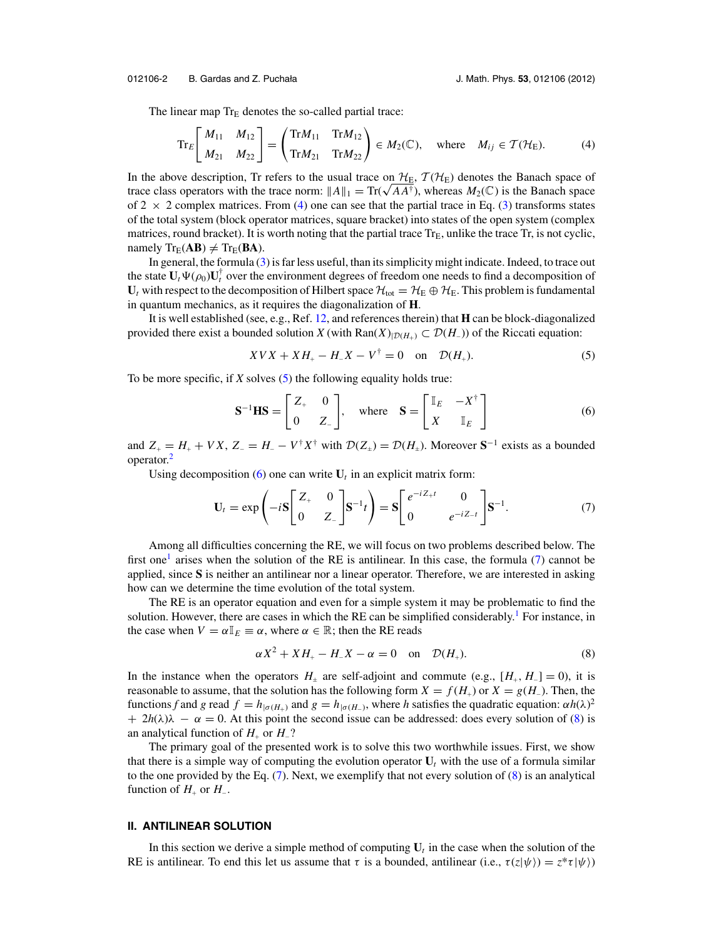<span id="page-2-0"></span>012106-2 B. Gardas and Z. Puchała J. Math. Phys. **53**, 012106 (2012)

The linear map  $Tr_E$  denotes the so-called partial trace:

$$
\operatorname{Tr}_{E}\left[\begin{array}{cc} M_{11} & M_{12} \\ M_{21} & M_{22} \end{array}\right] = \left(\begin{array}{ccc} \operatorname{Tr}M_{11} & \operatorname{Tr}M_{12} \\ \operatorname{Tr}M_{21} & \operatorname{Tr}M_{22} \end{array}\right) \in M_{2}(\mathbb{C}), \quad \text{where} \quad M_{ij} \in \mathcal{T}(\mathcal{H}_{E}).\tag{4}
$$

In the above description, Tr refers to the usual trace on  $H<sub>E</sub>$ ,  $T(H<sub>E</sub>)$  denotes the Banach space of trace class operators with the trace norm:  $||A||_1 = \text{Tr}(\sqrt{A}A^{\dagger})$ , whereas  $M_2(\mathbb{C})$  is the Banach space of 2  $\times$  2 complex matrices. From (4) one can see that the partial trace in Eq. [\(3\)](#page-1-0) transforms states of the total system (block operator matrices, square bracket) into states of the open system (complex matrices, round bracket). It is worth noting that the partial trace  $Tr_E$ , unlike the trace  $Tr$ , is not cyclic, namely  $Tr_E(AB) \neq Tr_E(BA)$ .

In general, the formula [\(3\)](#page-1-0) is far less useful, than its simplicity might indicate. Indeed, to trace out the state  $U_t \Psi(\rho_0) U_t^{\dagger}$  over the environment degrees of freedom one needs to find a decomposition of  $U_t$  with respect to the decomposition of Hilbert space  $\mathcal{H}_{tot} = \mathcal{H}_E \oplus \mathcal{H}_E$ . This problem is fundamental in quantum mechanics, as it requires the diagonalization of **H**.

It is well established (see, e.g., Ref. [12,](#page-4-0) and references therein) that **H** can be block-diagonalized provided there exist a bounded solution *X* (with  $\text{Ran}(X)_{|\mathcal{D}(H_+)} \subset \mathcal{D}(H_-)$ ) of the Riccati equation:

$$
XVX + XH_{+} - H_{-}X - V^{\dagger} = 0 \quad \text{on} \quad \mathcal{D}(H_{+}).
$$
 (5)

To be more specific, if *X* solves (5) the following equality holds true:

$$
\mathbf{S}^{-1}\mathbf{H}\mathbf{S} = \begin{bmatrix} Z_+ & 0 \\ 0 & Z_- \end{bmatrix}, \text{ where } \mathbf{S} = \begin{bmatrix} \mathbb{I}_E & -X^{\dagger} \\ X & \mathbb{I}_E \end{bmatrix}
$$
 (6)

and  $Z_+ = H_+ + VX$ ,  $Z_- = H_- - V^{\dagger} X^{\dagger}$  with  $\mathcal{D}(Z_{\pm}) = \mathcal{D}(H_{\pm})$ . Moreover  $S^{-1}$  exists as a bounded operator[.2](#page-4-0)

Using decomposition  $(6)$  one can write  $U_t$  in an explicit matrix form:

$$
\mathbf{U}_t = \exp\left(-i\mathbf{S} \begin{bmatrix} Z_+ & 0 \\ 0 & Z_- \end{bmatrix} \mathbf{S}^{-1}t\right) = \mathbf{S} \begin{bmatrix} e^{-iZ_+t} & 0 \\ 0 & e^{-iZ_-t} \end{bmatrix} \mathbf{S}^{-1}.
$$
 (7)

Among all difficulties concerning the RE, we will focus on two problems described below. The first one<sup>1</sup> arises when the solution of the RE is antilinear. In this case, the formula  $(7)$  cannot be applied, since **S** is neither an antilinear nor a linear operator. Therefore, we are interested in asking how can we determine the time evolution of the total system.

The RE is an operator equation and even for a simple system it may be problematic to find the solution. However, there are cases in which the RE can be simplified considerably.<sup>1</sup> For instance, in the case when  $V = \alpha \mathbb{I}_E \equiv \alpha$ , where  $\alpha \in \mathbb{R}$ ; then the RE reads

$$
\alpha X^2 + X H_+ - H_- X - \alpha = 0 \quad \text{on} \quad \mathcal{D}(H_+). \tag{8}
$$

In the instance when the operators  $H_{\pm}$  are self-adjoint and commute (e.g.,  $[H_{+}, H_{-}] = 0$ ), it is reasonable to assume, that the solution has the following form  $X = f(H_+)$  or  $X = g(H_-)$ . Then, the functions *f* and *g* read  $f = h_{|\sigma(H_+)}$  and  $g = h_{|\sigma(H_-)}$ , where *h* satisfies the quadratic equation:  $\alpha h(\lambda)^2$  $+ 2h(\lambda)\lambda - \alpha = 0$ . At this point the second issue can be addressed: does every solution of (8) is an analytical function of  $H_+$  or  $H_-$ ?

The primary goal of the presented work is to solve this two worthwhile issues. First, we show that there is a simple way of computing the evolution operator  $U_t$  with the use of a formula similar to the one provided by the Eq.  $(7)$ . Next, we exemplify that not every solution of  $(8)$  is an analytical function of  $H_+$  or  $H_-$ .

### **II. ANTILINEAR SOLUTION**

In this section we derive a simple method of computing  $U_t$  in the case when the solution of the RE is antilinear. To end this let us assume that  $\tau$  is a bounded, antilinear (i.e.,  $\tau(z|\psi\rangle) = z^* \tau |\psi\rangle$ )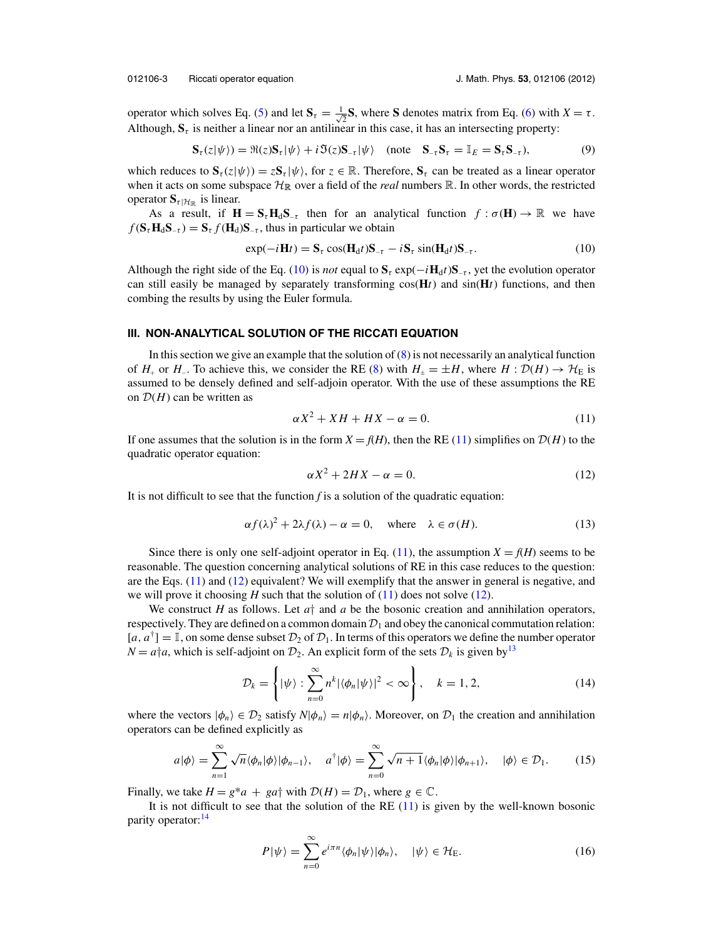<span id="page-3-0"></span>operator which solves Eq. [\(5\)](#page-2-0) and let  $S_{\tau} = \frac{1}{\sqrt{2\pi}}$  $\overline{z}$ **S**, where **S** denotes matrix from Eq. [\(6\)](#page-2-0) with  $X = \tau$ . Although,  $S_{\tau}$  is neither a linear nor an antilinear in this case, it has an intersecting property:

$$
\mathbf{S}_{\tau}(z|\psi\rangle) = \Re(z)\mathbf{S}_{\tau}|\psi\rangle + i\Im(z)\mathbf{S}_{-\tau}|\psi\rangle \quad \text{(note} \quad \mathbf{S}_{-\tau}\mathbf{S}_{\tau} = \mathbb{I}_{E} = \mathbf{S}_{\tau}\mathbf{S}_{-\tau}\text{)},\tag{9}
$$

which reduces to  $\mathbf{S}_\tau(z|\psi\rangle) = z\mathbf{S}_\tau|\psi\rangle$ , for  $z \in \mathbb{R}$ . Therefore,  $\mathbf{S}_\tau$  can be treated as a linear operator when it acts on some subspace  $\mathcal{H}_{\mathbb{R}}$  over a field of the *real* numbers  $\mathbb{R}$ . In other words, the restricted operator  $S_{\tau | \mathcal{H}_{\mathbb{R}}}$  is linear.

As a result, if  $H = S_t H_d S_{-\tau}$  then for an analytical function  $f : \sigma(H) \to \mathbb{R}$  we have  $f(\mathbf{S}_{\tau} \mathbf{H}_{d} \mathbf{S}_{-\tau}) = \mathbf{S}_{\tau} f(\mathbf{H}_{d}) \mathbf{S}_{-\tau}$ , thus in particular we obtain

$$
\exp(-i\mathbf{H}t) = \mathbf{S}_{\tau}\cos(\mathbf{H}_{d}t)\mathbf{S}_{-\tau} - i\mathbf{S}_{\tau}\sin(\mathbf{H}_{d}t)\mathbf{S}_{-\tau}.
$$
\n(10)

Although the right side of the Eq. (10) is *not* equal to  $S_t$  exp( $-iH_d/{}S_-\tau$ , yet the evolution operator can still easily be managed by separately transforming  $cos(\mathbf{H}t)$  and  $sin(\mathbf{H}t)$  functions, and then combing the results by using the Euler formula.

#### **III. NON-ANALYTICAL SOLUTION OF THE RICCATI EQUATION**

In this section we give an example that the solution of  $(8)$  is not necessarily an analytical function of *H*<sub>+</sub> or *H*<sub>−</sub>. To achieve this, we consider the RE [\(8\)](#page-2-0) with  $H_{\pm} = \pm H$ , where  $H : \mathcal{D}(H) \to \mathcal{H}_E$  is assumed to be densely defined and self-adjoin operator. With the use of these assumptions the RE on  $D(H)$  can be written as

$$
\alpha X^2 + XH + HX - \alpha = 0. \tag{11}
$$

If one assumes that the solution is in the form  $X = f(H)$ , then the RE (11) simplifies on  $D(H)$  to the quadratic operator equation:

$$
\alpha X^2 + 2HX - \alpha = 0. \tag{12}
$$

It is not difficult to see that the function *f* is a solution of the quadratic equation:

$$
\alpha f(\lambda)^2 + 2\lambda f(\lambda) - \alpha = 0, \quad \text{where} \quad \lambda \in \sigma(H). \tag{13}
$$

Since there is only one self-adjoint operator in Eq. (11), the assumption  $X = f(H)$  seems to be reasonable. The question concerning analytical solutions of RE in this case reduces to the question: are the Eqs. (11) and (12) equivalent? We will exemplify that the answer in general is negative, and we will prove it choosing  $H$  such that the solution of  $(11)$  does not solve  $(12)$ .

We construct *H* as follows. Let  $a<sup>+</sup>$  and  $a$  be the bosonic creation and annihilation operators, respectively. They are defined on a common domain  $\mathcal{D}_1$  and obey the canonical commutation relation:  $[a, a^{\dagger}] = \mathbb{I}$ , on some dense subset  $\mathcal{D}_2$  of  $\mathcal{D}_1$ . In terms of this operators we define the number operator  $N = a \dagger a$ , which is self-adjoint on  $\mathcal{D}_2$ . An explicit form of the sets  $\mathcal{D}_k$  is given by<sup>13</sup>

$$
\mathcal{D}_k = \left\{ |\psi\rangle : \sum_{n=0}^{\infty} n^k |\langle \phi_n | \psi \rangle|^2 < \infty \right\}, \quad k = 1, 2,\tag{14}
$$

where the vectors  $|\phi_n\rangle \in \mathcal{D}_2$  satisfy  $N|\phi_n\rangle = n|\phi_n\rangle$ . Moreover, on  $\mathcal{D}_1$  the creation and annihilation operators can be defined explicitly as

$$
a|\phi\rangle = \sum_{n=1}^{\infty} \sqrt{n} \langle \phi_n | \phi \rangle |\phi_{n-1} \rangle, \quad a^{\dagger}|\phi\rangle = \sum_{n=0}^{\infty} \sqrt{n+1} \langle \phi_n | \phi \rangle |\phi_{n+1} \rangle, \quad |\phi\rangle \in \mathcal{D}_1.
$$
 (15)

Finally, we take  $H = g^*a + ga^{\dagger}$  with  $\mathcal{D}(H) = \mathcal{D}_1$ , where  $g \in \mathbb{C}$ .

It is not difficult to see that the solution of the RE (11) is given by the well-known bosonic parity operator:<sup>[14](#page-4-0)</sup>

$$
P|\psi\rangle = \sum_{n=0}^{\infty} e^{i\pi n} \langle \phi_n | \psi \rangle | \phi_n \rangle, \quad |\psi\rangle \in \mathcal{H}_E.
$$
 (16)